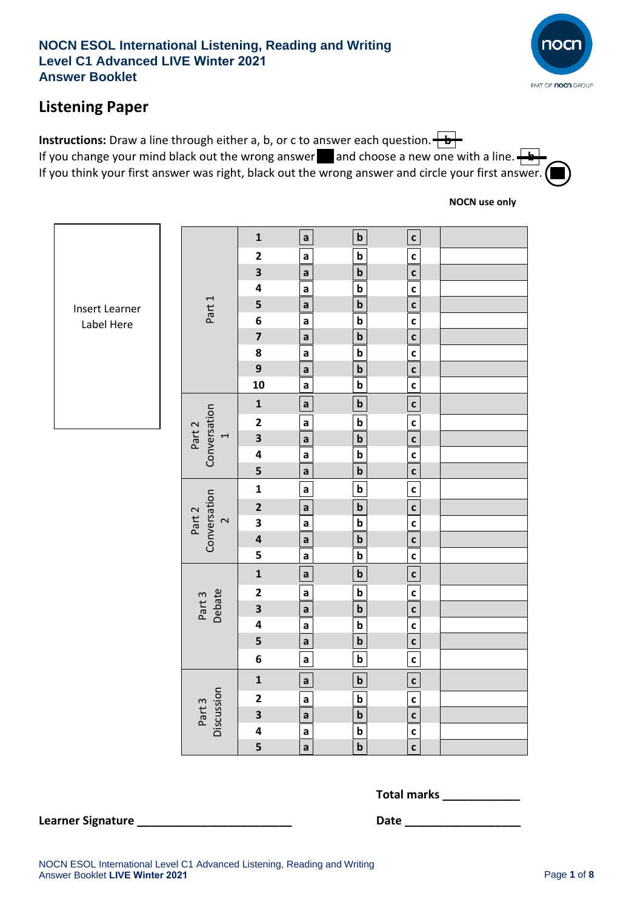

## **Listening Paper**

**Instructions:** Draw a line through either a, b, or c to answer each question.  $\overline{\uparrow b}$ If you change your mind black out the wrong answer and choose a new one with a line.  $\overline{\mathbf{b}}$ If you think your first answer was right, black out the wrong answer and circle your first answer.  $\Box$ 

**NOCN use only**

|  |                                     |                                    | $\mathbf 1$             | $\mathsf{a}$ | $\mathbf b$                                                         | $\mathbf{c}$                       |                            |
|--|-------------------------------------|------------------------------------|-------------------------|--------------|---------------------------------------------------------------------|------------------------------------|----------------------------|
|  | <b>Insert Learner</b><br>Label Here |                                    | $\mathbf 2$             | a            | b                                                                   | $rac{c}{c}$                        |                            |
|  |                                     |                                    | 3                       | $\mathsf a$  | $\overline{\mathbf{b}}$                                             |                                    |                            |
|  |                                     |                                    | 4                       | a            | $\overline{\mathbf{b}}$                                             | $\overline{\mathbf{c}}$            |                            |
|  |                                     | Part 1                             | 5                       | $\mathsf a$  | $\boldsymbol{\mathsf{b}}$                                           | $\mathbf c$                        |                            |
|  |                                     |                                    | 6                       | a            | $\bold{b}$                                                          | $\overline{c}$                     |                            |
|  |                                     |                                    | 7                       | $\mathsf a$  | $\boldsymbol{\mathsf{b}}$                                           | $\overline{\mathbf{c}}$            |                            |
|  |                                     |                                    | 8                       | a            | $\overline{b}$                                                      | $\overline{\mathbf{c}}$            |                            |
|  |                                     |                                    | 9                       | a            | $\boldsymbol{\mathsf{b}}$                                           | $\overline{\overline{\mathbf{c}}}$ |                            |
|  |                                     |                                    | 10                      | $\mathsf{a}$ | $\overline{b}$                                                      | $\overline{\mathbf{c}}$            |                            |
|  |                                     |                                    | $\mathbf{1}$            | $\mathsf{a}$ | $\mathbf b$                                                         | $\overline{c}$                     |                            |
|  |                                     |                                    | $\overline{\mathbf{c}}$ | $\mathsf{a}$ | $\boldsymbol{\mathsf{b}}$                                           | $\overline{\mathbf{c}}$            |                            |
|  |                                     | Part 2<br>$\overline{\phantom{0}}$ | 3                       | $\mathsf a$  | $\mathbf b$                                                         | $\overline{c}$                     |                            |
|  |                                     | Conversation                       | 4                       | a            | $\overline{\mathbf{b}}$                                             | $\overline{\mathbf{c}}$            |                            |
|  |                                     |                                    | 5                       | $\mathsf{a}$ | $\boldsymbol{\mathsf{b}}$                                           | $\overline{\mathbf{c}}$            |                            |
|  |                                     |                                    | $\mathbf{1}$            | a            | $\mathbf b$                                                         | $\overline{c}$                     |                            |
|  |                                     | Conversation                       | $\overline{\mathbf{c}}$ | $\mathsf a$  | $\overline{\mathbf{b}}$                                             | $rac{c}{c}$                        |                            |
|  |                                     | Part 2<br>$\sim$                   | 3                       | $\mathsf{a}$ | $\overline{b}$                                                      |                                    |                            |
|  |                                     |                                    | $\overline{\mathbf{r}}$ | a            | $\overline{\mathbf{b}}$                                             | $\overline{\mathbf{c}}$            |                            |
|  |                                     |                                    | 5                       | $\mathsf{a}$ | $\bold{b}$                                                          | $\overline{\phantom{a}}$           |                            |
|  |                                     |                                    | $\mathbf 1$             | $\mathsf{a}$ | $\mathbf{b}$                                                        | $\mathbf{c}$                       |                            |
|  |                                     |                                    | $\overline{\mathbf{c}}$ | $\mathsf a$  | $\boldsymbol{\mathsf{b}}$                                           | $\frac{c}{c}$                      |                            |
|  |                                     | Part 3<br>Debate                   | 3                       | $\mathsf a$  | $\overline{\mathbf{b}}$                                             | $\mathbf{c}$                       |                            |
|  |                                     |                                    | 4                       | $\mathsf a$  | $\boldsymbol{\mathsf{b}}$                                           | $\overline{\mathbf{c}}$            |                            |
|  |                                     |                                    | 5                       | $\mathsf{a}$ | $\overline{\mathbf{b}}$                                             | $\overline{\mathbf{c}}$            |                            |
|  |                                     |                                    | 6                       | a            | $\overline{\mathbf{b}}$                                             | $\overline{\mathbf{c}}$            |                            |
|  |                                     |                                    | $\mathbf{1}$            | $\mathsf{a}$ | $\begin{array}{c} \hline \textbf{b} \end{array}$                    | $\mathbf{c}$                       |                            |
|  |                                     | ussion                             | $\overline{\mathbf{c}}$ | a            | $\begin{array}{c c}\n\mathbf{b} \\ \hline\n\mathbf{b}\n\end{array}$ |                                    |                            |
|  |                                     | Part 3<br>Discussio                | $\overline{\mathbf{3}}$ | a            |                                                                     | $rac{c}{c}$                        |                            |
|  |                                     |                                    | 4                       | a            | $\mathbf b$                                                         | $\mathbf c$                        |                            |
|  |                                     |                                    | 5                       | $\mathsf{a}$ | $\mathbf b$                                                         | $\overline{\mathbf{c}}$            |                            |
|  |                                     |                                    |                         |              |                                                                     |                                    | Total marks ______________ |
|  |                                     |                                    |                         |              |                                                                     |                                    |                            |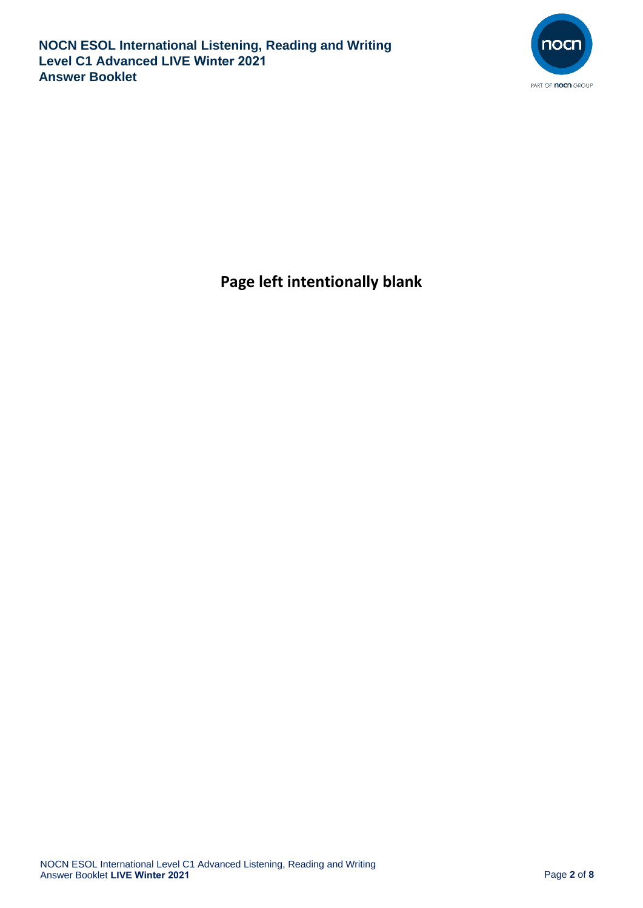

**Page left intentionally blank**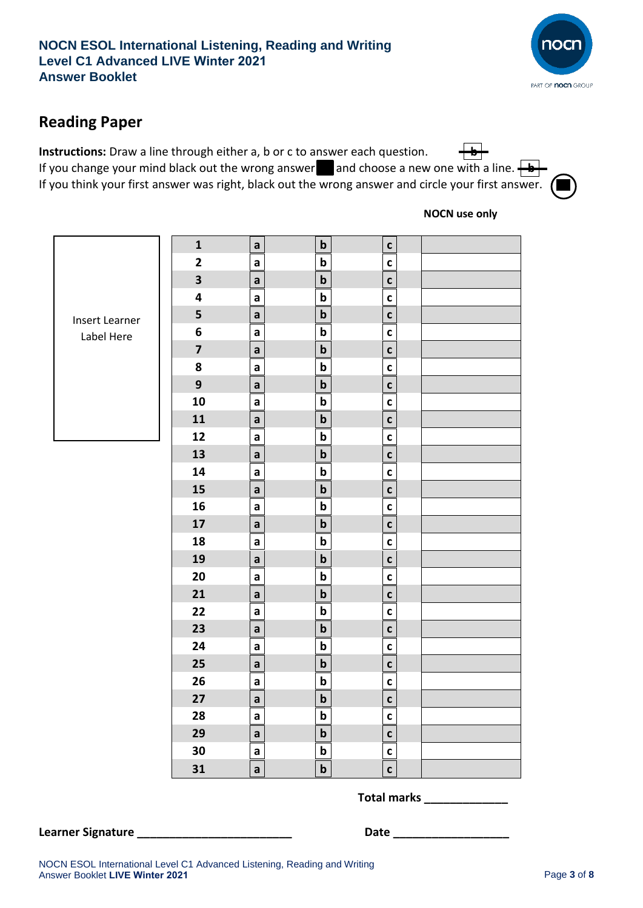

## **Reading Paper**

**Instructions:** Draw a line through either a, b or c to answer each question. –**b-**If you change your mind black out the wrong answer and choose a new one with a line.  $\overline{+}$ If you think your first answer was right, black out the wrong answer and circle your first answer.

**NOCN use only**

| $\mathbf{1}$<br>$\mathbf b$<br>$\mathbf{C}$<br>$\mathsf{a}$<br>$\mathbf b$<br>$\overline{\mathbf{2}}$<br>$\mathbf c$<br>$\mathsf{a}$<br>$\overline{\mathbf{3}}$<br>$\mathbf b$<br>$\mathbf c$<br>$\mathsf{a}$<br>$\mathbf b$<br>4<br>$\mathbf c$<br>a<br>5<br>$\mathbf b$<br>$\mathbf{C}$<br>$\mathsf a$<br>6<br>$\mathbf b$<br>$\mathbf c$<br>a<br>Label Here<br>$\overline{\mathbf{z}}$<br>$\mathbf b$<br>$\mathbf c$<br>$\mathsf a$<br>8<br>$\mathbf b$<br>$\mathbf c$<br>a<br>9<br>$\mathbf b$<br>$\mathbf c$<br>$\mathsf a$<br>10<br>$\boldsymbol{\mathsf{b}}$<br>$\mathbf{c}$<br>$\mathsf a$<br>11<br>$\mathbf b$<br>$\mathbf c$<br>$\mathsf a$<br>12<br>b<br>$\mathbf c$<br>$\mathsf{a}$ |  |              |             |             |    |  |
|-------------------------------------------------------------------------------------------------------------------------------------------------------------------------------------------------------------------------------------------------------------------------------------------------------------------------------------------------------------------------------------------------------------------------------------------------------------------------------------------------------------------------------------------------------------------------------------------------------------------------------------------------------------------------------------------------|--|--------------|-------------|-------------|----|--|
|                                                                                                                                                                                                                                                                                                                                                                                                                                                                                                                                                                                                                                                                                                 |  |              |             |             |    |  |
|                                                                                                                                                                                                                                                                                                                                                                                                                                                                                                                                                                                                                                                                                                 |  |              |             |             |    |  |
| <b>Insert Learner</b>                                                                                                                                                                                                                                                                                                                                                                                                                                                                                                                                                                                                                                                                           |  |              |             |             |    |  |
|                                                                                                                                                                                                                                                                                                                                                                                                                                                                                                                                                                                                                                                                                                 |  |              |             |             |    |  |
|                                                                                                                                                                                                                                                                                                                                                                                                                                                                                                                                                                                                                                                                                                 |  |              |             |             |    |  |
|                                                                                                                                                                                                                                                                                                                                                                                                                                                                                                                                                                                                                                                                                                 |  |              |             |             |    |  |
|                                                                                                                                                                                                                                                                                                                                                                                                                                                                                                                                                                                                                                                                                                 |  |              |             |             |    |  |
|                                                                                                                                                                                                                                                                                                                                                                                                                                                                                                                                                                                                                                                                                                 |  |              |             |             |    |  |
|                                                                                                                                                                                                                                                                                                                                                                                                                                                                                                                                                                                                                                                                                                 |  |              |             |             |    |  |
|                                                                                                                                                                                                                                                                                                                                                                                                                                                                                                                                                                                                                                                                                                 |  |              |             |             |    |  |
|                                                                                                                                                                                                                                                                                                                                                                                                                                                                                                                                                                                                                                                                                                 |  |              |             |             |    |  |
|                                                                                                                                                                                                                                                                                                                                                                                                                                                                                                                                                                                                                                                                                                 |  |              |             |             |    |  |
|                                                                                                                                                                                                                                                                                                                                                                                                                                                                                                                                                                                                                                                                                                 |  | $\mathbf{C}$ | $\mathbf b$ | $\mathsf a$ | 13 |  |
| $\mathbf b$<br>14<br>$\mathbf c$<br>a                                                                                                                                                                                                                                                                                                                                                                                                                                                                                                                                                                                                                                                           |  |              |             |             |    |  |
| 15<br>$\mathbf b$<br>$\mathbf c$<br>$\mathsf a$                                                                                                                                                                                                                                                                                                                                                                                                                                                                                                                                                                                                                                                 |  |              |             |             |    |  |
| 16<br>$\mathbf b$<br>$\mathbf c$<br>$\mathsf{a}$                                                                                                                                                                                                                                                                                                                                                                                                                                                                                                                                                                                                                                                |  |              |             |             |    |  |
| 17<br>$\mathbf b$<br>$\mathbf c$<br>$\mathsf{a}$                                                                                                                                                                                                                                                                                                                                                                                                                                                                                                                                                                                                                                                |  |              |             |             |    |  |
| 18<br>$\boldsymbol{\mathsf{b}}$<br>$\mathsf{a}$<br>$\mathbf{C}$                                                                                                                                                                                                                                                                                                                                                                                                                                                                                                                                                                                                                                 |  |              |             |             |    |  |
| 19<br>$\mathbf b$<br>$\mathbf c$<br>$\mathsf{a}$                                                                                                                                                                                                                                                                                                                                                                                                                                                                                                                                                                                                                                                |  |              |             |             |    |  |
| 20<br>$\boldsymbol{\mathsf{b}}$<br>$\mathbf c$<br>a                                                                                                                                                                                                                                                                                                                                                                                                                                                                                                                                                                                                                                             |  |              |             |             |    |  |
| 21<br>$\mathbf b$<br>$\mathbf c$<br>$\mathsf{a}$                                                                                                                                                                                                                                                                                                                                                                                                                                                                                                                                                                                                                                                |  |              |             |             |    |  |
| 22<br>$\boldsymbol{\mathsf{b}}$<br>$\mathbf c$<br>a                                                                                                                                                                                                                                                                                                                                                                                                                                                                                                                                                                                                                                             |  |              |             |             |    |  |
| 23<br>$\mathbf b$<br>$\mathbf c$<br>$\mathsf{a}$                                                                                                                                                                                                                                                                                                                                                                                                                                                                                                                                                                                                                                                |  |              |             |             |    |  |
| $\boldsymbol{\mathsf{b}}$<br>24<br>a<br>$\mathbf{c}$                                                                                                                                                                                                                                                                                                                                                                                                                                                                                                                                                                                                                                            |  |              |             |             |    |  |
| 25<br>$\mathbf b$<br>$\mathbf c$<br>$\mathsf{a}$                                                                                                                                                                                                                                                                                                                                                                                                                                                                                                                                                                                                                                                |  |              |             |             |    |  |
| 26<br>$\mathbf b$<br>$\mathbf c$<br>a                                                                                                                                                                                                                                                                                                                                                                                                                                                                                                                                                                                                                                                           |  |              |             |             |    |  |
| 27<br>$\mathbf b$<br>$\mathbf c$<br>$\mathsf{a}$                                                                                                                                                                                                                                                                                                                                                                                                                                                                                                                                                                                                                                                |  |              |             |             |    |  |
| $\mathbf b$<br>28<br>$\mathbf{c}$<br>a                                                                                                                                                                                                                                                                                                                                                                                                                                                                                                                                                                                                                                                          |  |              |             |             |    |  |
| 29<br>$\boldsymbol{\mathsf{b}}$<br>$\mathbf c$<br>$\mathsf{a}$                                                                                                                                                                                                                                                                                                                                                                                                                                                                                                                                                                                                                                  |  |              |             |             |    |  |
| 30<br>$\mathbf b$<br>$\mathbf c$<br>a                                                                                                                                                                                                                                                                                                                                                                                                                                                                                                                                                                                                                                                           |  |              |             |             |    |  |
| 31<br>$\mathbf b$<br>$\mathsf{a}$<br>$\mathbf c$                                                                                                                                                                                                                                                                                                                                                                                                                                                                                                                                                                                                                                                |  |              |             |             |    |  |

**Total marks \_\_\_\_\_\_\_\_\_\_\_\_\_**

**Learner Signature \_\_\_\_\_\_\_\_\_\_\_\_\_\_\_\_\_\_\_\_\_\_\_\_ Date \_\_\_\_\_\_\_\_\_\_\_\_\_\_\_\_\_\_**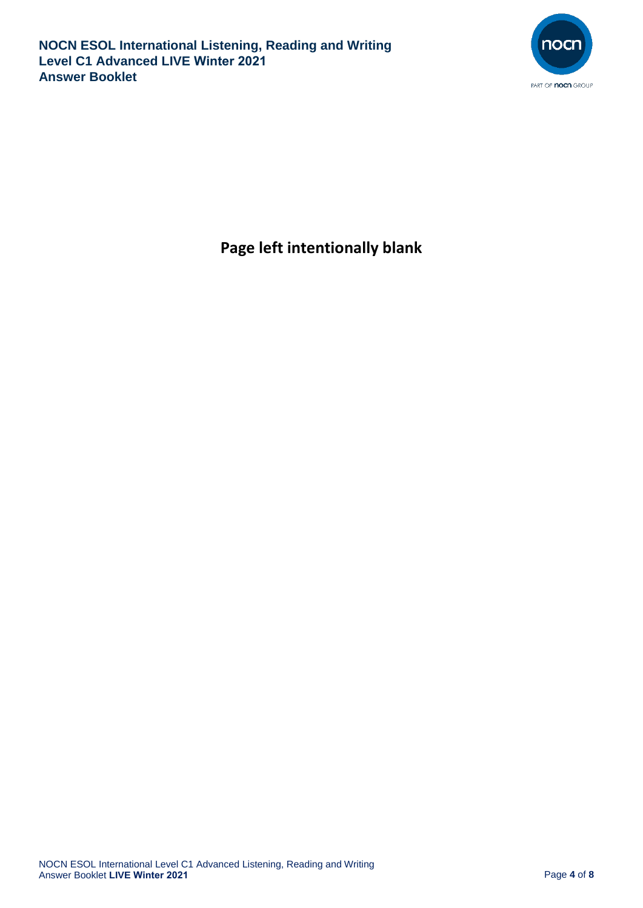

**Page left intentionally blank**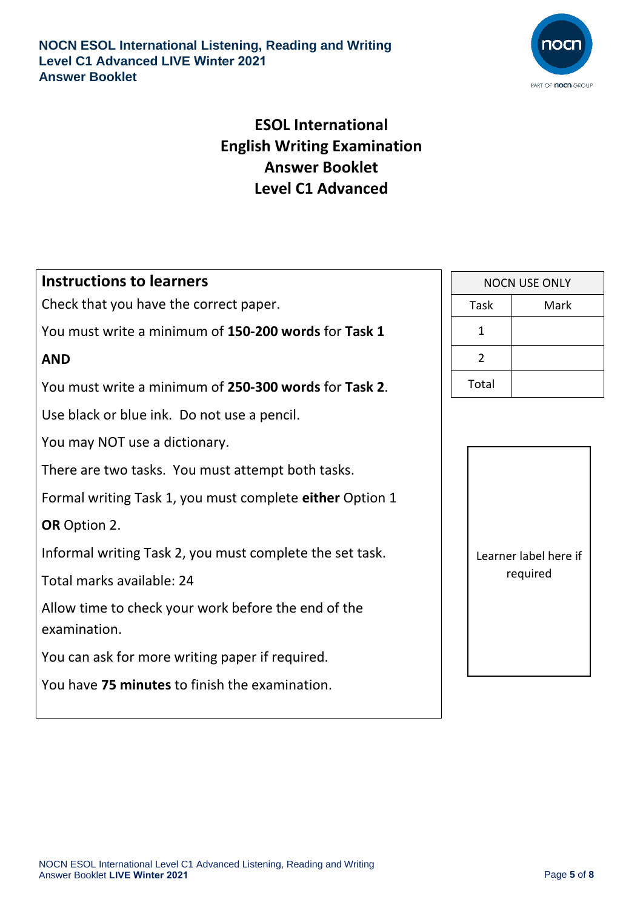**NOCN ESOL International Listening, Reading and Writing Level C1 Advanced LIVE Winter 2021 Answer Booklet**



## **ESOL International English Writing Examination Answer Booklet Level C1 Advanced**

| <b>Instructions to learners</b>                                     |                | <b>NOCN USE ONLY</b>  |  |  |
|---------------------------------------------------------------------|----------------|-----------------------|--|--|
| Check that you have the correct paper.                              | Task           | Mark                  |  |  |
| You must write a minimum of 150-200 words for Task 1                | $\mathbf{1}$   |                       |  |  |
| <b>AND</b>                                                          | $\overline{2}$ |                       |  |  |
| You must write a minimum of 250-300 words for Task 2.               | Total          |                       |  |  |
| Use black or blue ink. Do not use a pencil.                         |                |                       |  |  |
| You may NOT use a dictionary.                                       |                |                       |  |  |
| There are two tasks. You must attempt both tasks.                   |                |                       |  |  |
| Formal writing Task 1, you must complete either Option 1            |                |                       |  |  |
| OR Option 2.                                                        |                |                       |  |  |
| Informal writing Task 2, you must complete the set task.            |                | Learner label here if |  |  |
| Total marks available: 24                                           |                | required              |  |  |
| Allow time to check your work before the end of the<br>examination. |                |                       |  |  |
| You can ask for more writing paper if required.                     |                |                       |  |  |
| You have 75 minutes to finish the examination.                      |                |                       |  |  |
|                                                                     |                |                       |  |  |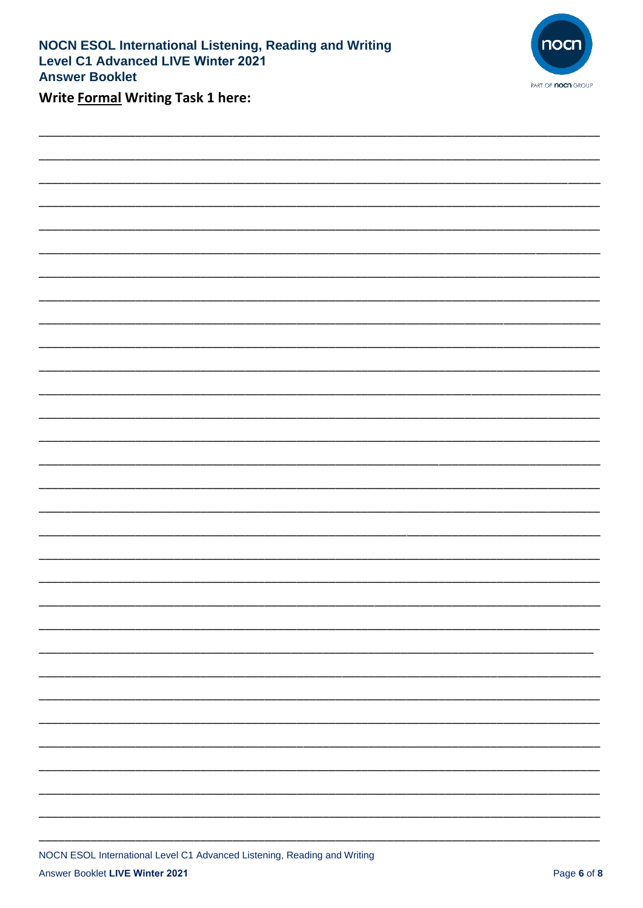

**Write Formal Writing Task 1 here:** 

NOCN ESOL International Level C1 Advanced Listening, Reading and Writing Answer Booklet LIVE Winter 2021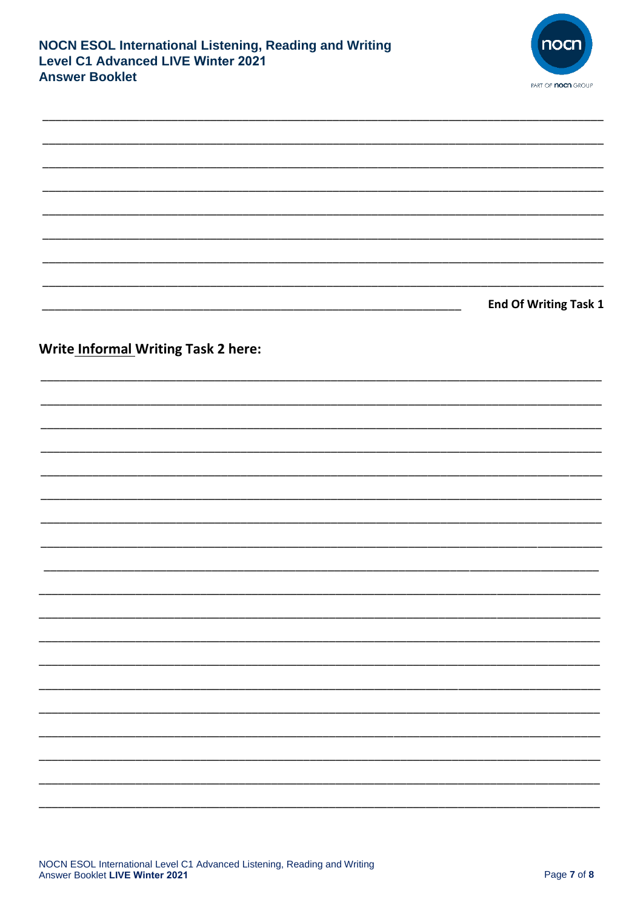

**End Of Writing Task 1** 

## **Write Informal Writing Task 2 here:**

NOCN ESOL International Level C1 Advanced Listening, Reading and Writing Answer Booklet LIVE Winter 2021